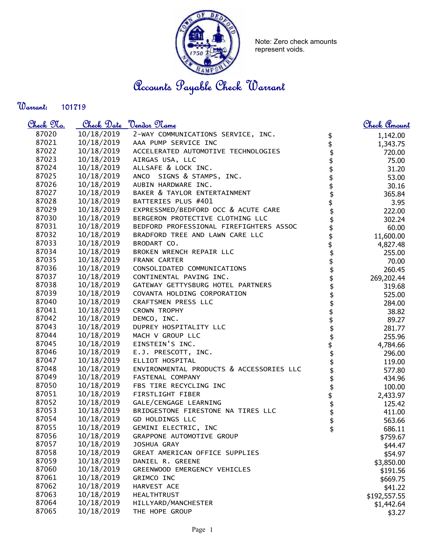

Note: Zero check amounts represent voids.

Accounts Payable Check Warrant

Warrant: 

| <u>Check 97a.</u> |            | Check Date <u>Vendor Name</u>            |                                             | <u>Check Amount</u> |
|-------------------|------------|------------------------------------------|---------------------------------------------|---------------------|
| 87020             | 10/18/2019 | 2-WAY COMMUNICATIONS SERVICE, INC.       |                                             | 1,142.00            |
| 87021             | 10/18/2019 | AAA PUMP SERVICE INC                     | <b>\$\$\$\$\$\$\$\$\$\$\$\$\$\$\$\$\$\$</b> | 1,343.75            |
| 87022             | 10/18/2019 | ACCELERATED AUTOMOTIVE TECHNOLOGIES      |                                             | 720.00              |
| 87023             | 10/18/2019 | AIRGAS USA, LLC                          |                                             | 75.00               |
| 87024             | 10/18/2019 | ALLSAFE & LOCK INC.                      |                                             | 31.20               |
| 87025             | 10/18/2019 | ANCO SIGNS & STAMPS, INC.                |                                             | 53.00               |
| 87026             | 10/18/2019 | AUBIN HARDWARE INC.                      |                                             | 30.16               |
| 87027             | 10/18/2019 | BAKER & TAYLOR ENTERTAINMENT             |                                             | 365.84              |
| 87028             | 10/18/2019 | BATTERIES PLUS #401                      |                                             | 3.95                |
| 87029             | 10/18/2019 | EXPRESSMED/BEDFORD OCC & ACUTE CARE      |                                             | 222.00              |
| 87030             | 10/18/2019 | BERGERON PROTECTIVE CLOTHING LLC         |                                             | 302.24              |
| 87031             | 10/18/2019 | BEDFORD PROFESSIONAL FIREFIGHTERS ASSOC  |                                             | 60.00               |
| 87032             | 10/18/2019 | BRADFORD TREE AND LAWN CARE LLC          |                                             | 11,600.00           |
| 87033             | 10/18/2019 | BRODART CO.                              |                                             | 4,827.48            |
| 87034             | 10/18/2019 | BROKEN WRENCH REPAIR LLC                 |                                             | 255.00              |
| 87035             | 10/18/2019 | FRANK CARTER                             |                                             | 70.00               |
| 87036             | 10/18/2019 | CONSOLIDATED COMMUNICATIONS              |                                             | 260.45              |
| 87037             | 10/18/2019 | CONTINENTAL PAVING INC.                  |                                             | 269,202.44          |
| 87038             | 10/18/2019 | GATEWAY GETTYSBURG HOTEL PARTNERS        |                                             | 319.68              |
| 87039             | 10/18/2019 | COVANTA HOLDING CORPORATION              | \$                                          | 525.00              |
| 87040             | 10/18/2019 | CRAFTSMEN PRESS LLC                      | \$                                          | 284.00              |
| 87041             | 10/18/2019 | CROWN TROPHY                             |                                             | 38.82               |
| 87042             | 10/18/2019 | DEMCO, INC.                              | \$\$\$                                      | 89.27               |
| 87043             | 10/18/2019 | DUPREY HOSPITALITY LLC                   |                                             | 281.77              |
| 87044             | 10/18/2019 | MACH V GROUP LLC                         | \$\$\$\$\$\$\$\$\$                          | 255.96              |
| 87045             | 10/18/2019 | EINSTEIN'S INC.                          |                                             | 4,784.66            |
| 87046             | 10/18/2019 | E.J. PRESCOTT, INC.                      |                                             | 296.00              |
| 87047             | 10/18/2019 | ELLIOT HOSPITAL                          |                                             | 119.00              |
| 87048             | 10/18/2019 | ENVIRONMENTAL PRODUCTS & ACCESSORIES LLC |                                             | 577.80              |
| 87049             | 10/18/2019 | FASTENAL COMPANY                         |                                             | 434.96              |
| 87050             | 10/18/2019 | FBS TIRE RECYCLING INC                   |                                             | 100.00              |
| 87051             | 10/18/2019 | FIRSTLIGHT FIBER                         |                                             | 2,433.97            |
| 87052             | 10/18/2019 | GALE/CENGAGE LEARNING                    |                                             | 125.42              |
| 87053             | 10/18/2019 | BRIDGESTONE FIRESTONE NA TIRES LLC       |                                             | 411.00              |
| 87054             | 10/18/2019 | GD HOLDINGS LLC                          | \$                                          | 563.66              |
| 87055             | 10/18/2019 | GEMINI ELECTRIC, INC                     | \$                                          | 686.11              |
| 87056             | 10/18/2019 | GRAPPONE AUTOMOTIVE GROUP                |                                             | \$759.67            |
| 87057             | 10/18/2019 | JOSHUA GRAY                              |                                             | \$44.47             |
| 87058             | 10/18/2019 | GREAT AMERICAN OFFICE SUPPLIES           |                                             | \$54.97             |
| 87059             | 10/18/2019 | DANIEL R. GREENE                         |                                             | \$3,850.00          |
| 87060             | 10/18/2019 | GREENWOOD EMERGENCY VEHICLES             |                                             | \$191.56            |
| 87061             | 10/18/2019 | GRIMCO INC                               |                                             | \$669.75            |
| 87062             | 10/18/2019 | HARVEST ACE                              |                                             | \$41.22             |
| 87063             | 10/18/2019 | <b>HEALTHTRUST</b>                       |                                             | \$192,557.55        |
| 87064             | 10/18/2019 | HILLYARD/MANCHESTER                      |                                             | \$1,442.64          |
| 87065             | 10/18/2019 | THE HOPE GROUP                           |                                             | \$3.27              |